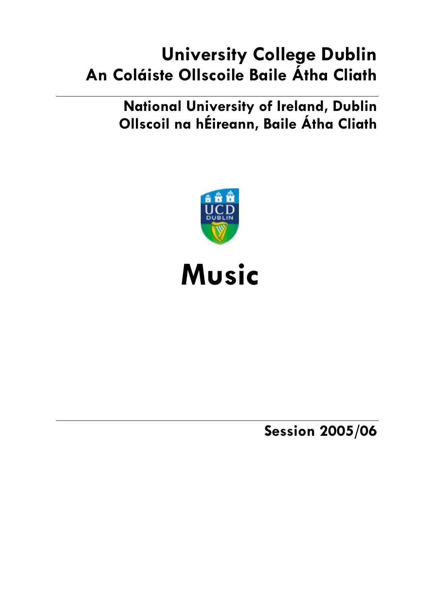# **University College Dublin An Coláiste Ollscoile Baile Átha Cliath**

**National University of Ireland, Dublin Ollscoil na hÉireann, Baile Átha Cliath** 





**Session 2005/06**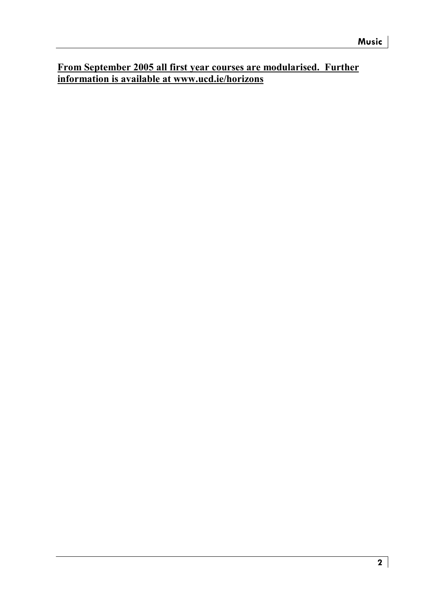## **From September 2005 all first year courses are modularised. Further information is available at www.ucd.ie/horizons**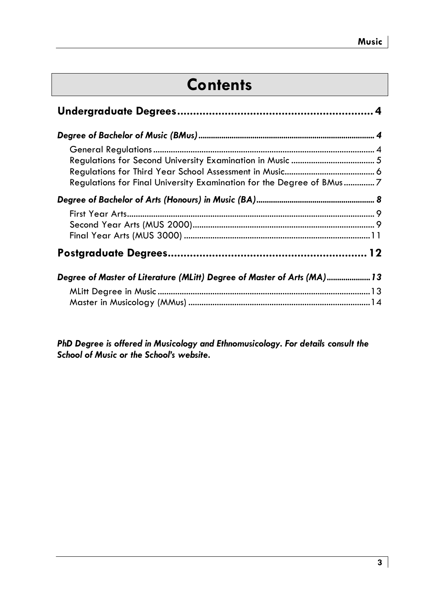# **Contents**

| Regulations for Final University Examination for the Degree of BMus7    |  |
|-------------------------------------------------------------------------|--|
|                                                                         |  |
|                                                                         |  |
|                                                                         |  |
|                                                                         |  |
|                                                                         |  |
| Degree of Master of Literature (MLitt) Degree of Master of Arts (MA) 13 |  |
|                                                                         |  |
|                                                                         |  |

*PhD Degree is offered in Musicology and Ethnomusicology. For details consult the School of Music or the School's website.*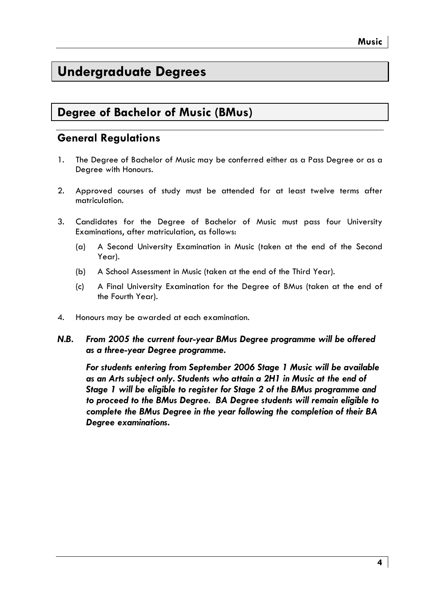## **Undergraduate Degrees**

## **Degree of Bachelor of Music (BMus)**

## **General Regulations**

- 1. The Degree of Bachelor of Music may be conferred either as a Pass Degree or as a Degree with Honours.
- 2. Approved courses of study must be attended for at least twelve terms after matriculation.
- 3. Candidates for the Degree of Bachelor of Music must pass four University Examinations, after matriculation, as follows:
	- (a) A Second University Examination in Music (taken at the end of the Second Year).
	- (b) A School Assessment in Music (taken at the end of the Third Year).
	- (c) A Final University Examination for the Degree of BMus (taken at the end of the Fourth Year).
- 4. Honours may be awarded at each examination.
- *N.B. From 2005 the current four-year BMus Degree programme will be offered as a three-year Degree programme.*

 *For students entering from September 2006 Stage 1 Music will be available as an Arts subject only. Students who attain a 2H1 in Music at the end of Stage 1 will be eligible to register for Stage 2 of the BMus programme and to proceed to the BMus Degree. BA Degree students will remain eligible to complete the BMus Degree in the year following the completion of their BA Degree examinations.*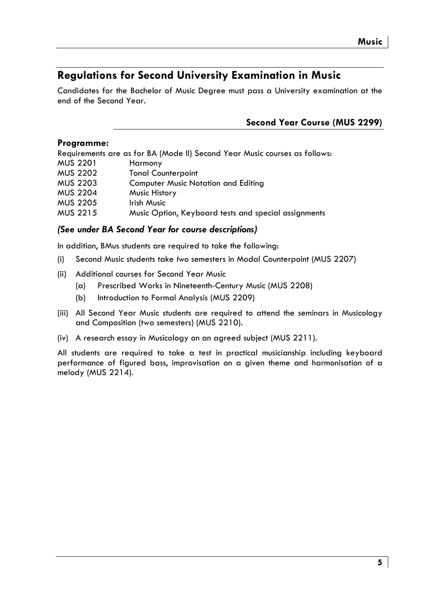## **Regulations for Second University Examination in Music**

Candidates for the Bachelor of Music Degree must pass a University examination at the end of the Second Year.

### **Second Year Course (MUS 2299)**

#### **Programme:**

|                 | Requirements are as for BA (Mode II) Second Year Music courses as follows: |
|-----------------|----------------------------------------------------------------------------|
| <b>MUS 2201</b> | Harmony                                                                    |
| <b>MUS 2202</b> | <b>Tonal Counterpoint</b>                                                  |
| <b>MUS 2203</b> | <b>Computer Music Notation and Editing</b>                                 |
| <b>MUS 2204</b> | Music History                                                              |
| <b>MUS 2205</b> | Irish Music                                                                |
| MUS 2215        | Music Option, Keyboard tests and special assignments                       |

#### *(See under BA Second Year for course descriptions)*

In addition, BMus students are required to take the following:

- (i) Second Music students take *two* semesters in Modal Counterpoint (MUS 2207)
- (ii) Additional courses for Second Year Music
	- (a) Prescribed Works in Nineteenth-Century Music (MUS 2208)
	- (b) Introduction to Formal Analysis (MUS 2209)
- (iii) All Second Year Music students are required to attend the seminars in Musicology and Composition (two semesters) (MUS 2210).
- (iv) A research essay in Musicology on an agreed subject (MUS 2211).

All students are required to take a test in practical musicianship including keyboard performance of figured bass, improvisation on a given theme and harmonisation of a melody (MUS 2214).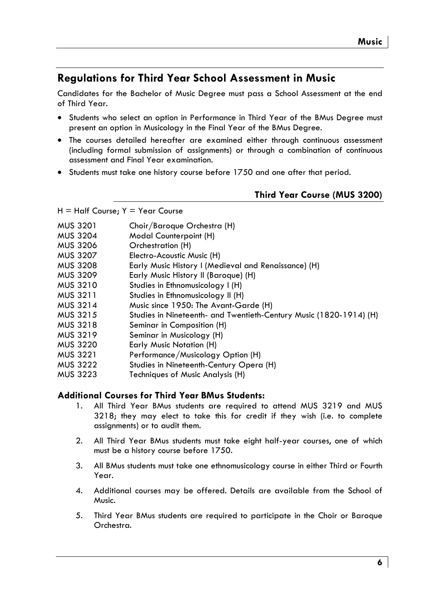## **Regulations for Third Year School Assessment in Music**

Candidates for the Bachelor of Music Degree must pass a School Assessment at the end of Third Year.

- Students who select an option in Performance in Third Year of the BMus Degree must present an option in Musicology in the Final Year of the BMus Degree.
- The courses detailed hereafter are examined either through continuous assessment (including formal submission of assignments) or through a combination of continuous assessment and Final Year examination.
- Students must take one history course before 1750 and one after that period.

### **Third Year Course (MUS 3200)**

 $H = H$ alf Course;  $Y = Y$ ear Course

| <b>MUS 3201</b> | Choir/Baroque Orchestra (H) |
|-----------------|-----------------------------|
|-----------------|-----------------------------|

- MUS 3204 Modal Counterpoint (H)
- MUS 3206 Orchestration (H)
- MUS 3207 Electro-Acoustic Music (H)
- MUS 3208 Early Music History I (Medieval and Renaissance) (H)
- MUS 3209 Early Music History II (Baroque) (H)
- MUS 3210 Studies in Ethnomusicology I (H)
- MUS 3211 Studies in Ethnomusicology II (H)
- MUS 3214 Music since 1950: The Avant-Garde (H)
- MUS 3215 Studies in Nineteenth- and Twentieth-Century Music (1820-1914) (H)<br>MUS 3218 Seminar in Composition (H)
- Seminar in Composition (H)
- MUS 3219 Seminar in Musicology (H)
- MUS 3220 Early Music Notation (H)
- MUS 3221 Performance/Musicology Option (H)
- MUS 3222 Studies in Nineteenth-Century Opera (H)
- MUS 3223 Techniques of Music Analysis (H)

#### **Additional Courses for Third Year BMus Students:**

- 1. All Third Year BMus students are required to attend MUS 3219 and MUS 3218; they may elect to take this for credit if they wish (i.e. to complete assignments) or to audit them.
- 2. All Third Year BMus students must take eight half-year courses, one of which must be a history course before 1750.
- 3. All BMus students must take one ethnomusicology course in either Third or Fourth Year.
- 4. Additional courses may be offered. Details are available from the School of Music.
- 5. Third Year BMus students are required to participate in the Choir or Baroque Orchestra.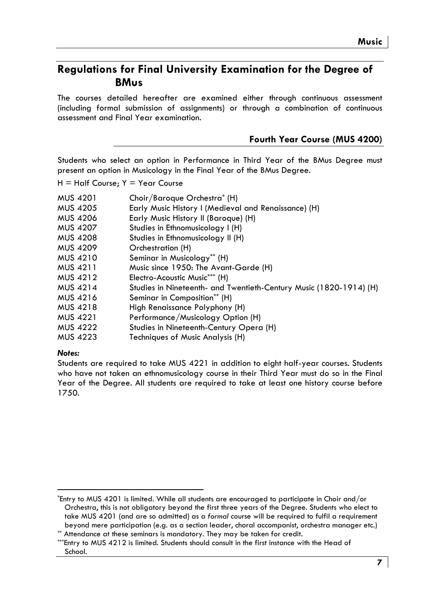## **Regulations for Final University Examination for the Degree of BMus**

The courses detailed hereafter are examined either through continuous assessment (including formal submission of assignments) or through a combination of continuous assessment and Final Year examination.

#### **Fourth Year Course (MUS 4200)**

Students who select an option in Performance in Third Year of the BMus Degree must present an option in Musicology in the Final Year of the BMus Degree.

 $H = H$ alf Course;  $Y = Y$ ear Course

| <b>MUS 4201</b> | Choir/Baroque Orchestra* (H)                                       |
|-----------------|--------------------------------------------------------------------|
| <b>MUS 4205</b> | Early Music History I (Medieval and Renaissance) (H)               |
| <b>MUS 4206</b> | Early Music History II (Baroque) (H)                               |
| <b>MUS 4207</b> | Studies in Ethnomusicology I (H)                                   |
| <b>MUS 4208</b> | Studies in Ethnomusicology II (H)                                  |
| <b>MUS 4209</b> | Orchestration (H)                                                  |
| <b>MUS 4210</b> | Seminar in Musicology** (H)                                        |
| <b>MUS 4211</b> | Music since 1950: The Avant-Garde (H)                              |
| <b>MUS 4212</b> | Electro-Acoustic Music*** (H)                                      |
| <b>MUS 4214</b> | Studies in Nineteenth- and Twentieth-Century Music (1820-1914) (H) |
| MUS 4216        | Seminar in Composition** (H)                                       |
| <b>MUS 4218</b> | High Renaissance Polyphony (H)                                     |
| <b>MUS 4221</b> | Performance/Musicology Option (H)                                  |
| <b>MUS 4222</b> | Studies in Nineteenth-Century Opera (H)                            |
| <b>MUS 4223</b> | Techniques of Music Analysis (H)                                   |

#### *Notes:*

Students are required to take MUS 4221 in addition to eight half-year courses. Students who have not taken an ethnomusicology course in their Third Year must do so in the Final Year of the Degree. All students are required to take at least one history course before 1750.

<sup>\*</sup>Entry to MUS 4201 is limited. While all students are encouraged to participate in Choir and/or Orchestra, this is not obligatory beyond the first three years of the Degree. Students who elect to take MUS 4201 (and are so admitted) as a *formal* course will be required to fulfil a requirement beyond mere participation (e.g. as a section leader, choral accompanist, orchestra manager etc.) \*\*<br>Attendance at these seminars is mandatory. They may be taken for credit.

<sup>\*\*\*</sup>Entry to MUS 4212 is limited. Students should consult in the first instance with the Head of School.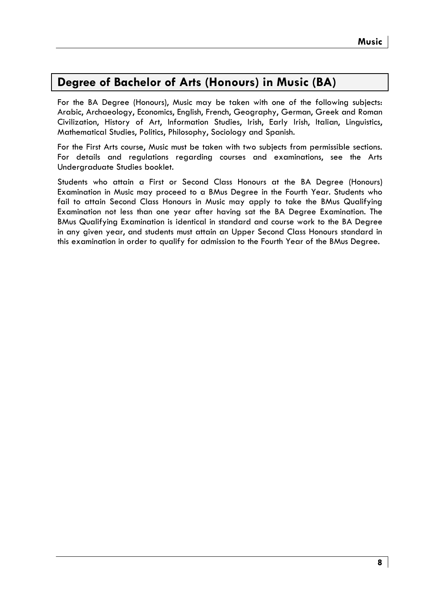## **Degree of Bachelor of Arts (Honours) in Music (BA)**

For the BA Degree (Honours), Music may be taken with one of the following subjects: Arabic, Archaeology, Economics, English, French, Geography, German, Greek and Roman Civilization, History of Art, Information Studies, Irish, Early Irish, Italian, Linguistics, Mathematical Studies, Politics, Philosophy, Sociology and Spanish.

For the First Arts course, Music must be taken with two subjects from permissible sections. For details and regulations regarding courses and examinations, see the Arts Undergraduate Studies booklet.

Students who attain a First or Second Class Honours at the BA Degree (Honours) Examination in Music may proceed to a BMus Degree in the Fourth Year. Students who fail to attain Second Class Honours in Music may apply to take the BMus Qualifying Examination not less than one year after having sat the BA Degree Examination. The BMus Qualifying Examination is identical in standard and course work to the BA Degree in any given year, and students must attain an Upper Second Class Honours standard in this examination in order to qualify for admission to the Fourth Year of the BMus Degree.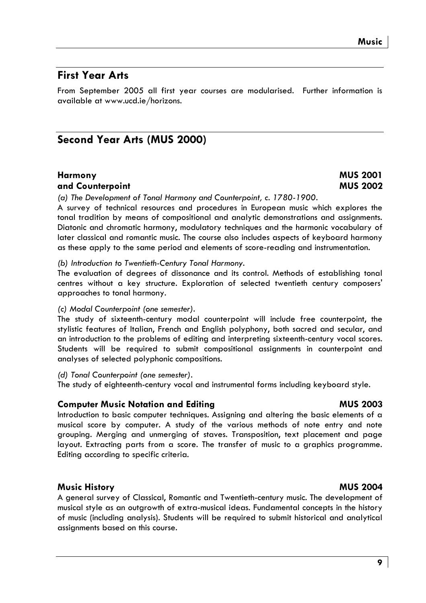## **First Year Arts**

From September 2005 all first year courses are modularised. Further information is available at www.ucd.ie/horizons.

## **Second Year Arts (MUS 2000)**

#### **Harmony MUS 2001 and Counterpoint MUS 2002**

*(a) The Development of Tonal Harmony and Counterpoint, c. 1780-1900.* 

A survey of technical resources and procedures in European music which explores the tonal tradition by means of compositional and analytic demonstrations and assignments. Diatonic and chromatic harmony, modulatory techniques and the harmonic vocabulary of later classical and romantic music. The course also includes aspects of keyboard harmony as these apply to the same period and elements of score-reading and instrumentation.

*(b) Introduction to Twentieth-Century Tonal Harmony.* 

The evaluation of degrees of dissonance and its control. Methods of establishing tonal centres without a key structure. Exploration of selected twentieth century composers' approaches to tonal harmony.

#### *(c) Modal Counterpoint (one semester).*

The study of sixteenth-century modal counterpoint will include free counterpoint, the stylistic features of Italian, French and English polyphony, both sacred and secular, and an introduction to the problems of editing and interpreting sixteenth-century vocal scores. Students will be required to submit compositional assignments in counterpoint and analyses of selected polyphonic compositions.

*(d) Tonal Counterpoint (one semester).* 

The study of eighteenth-century vocal and instrumental forms including keyboard style.

#### **Computer Music Notation and Editing MUS 2003**

Introduction to basic computer techniques. Assigning and altering the basic elements of a musical score by computer. A study of the various methods of note entry and note grouping. Merging and unmerging of staves. Transposition, text placement and page layout. Extracting parts from a score. The transfer of music to a graphics programme. Editing according to specific criteria.

#### **Music History MUS 2004**

A general survey of Classical, Romantic and Twentieth-century music. The development of musical style as an outgrowth of extra-musical ideas. Fundamental concepts in the history of music (including analysis). Students will be required to submit historical and analytical assignments based on this course.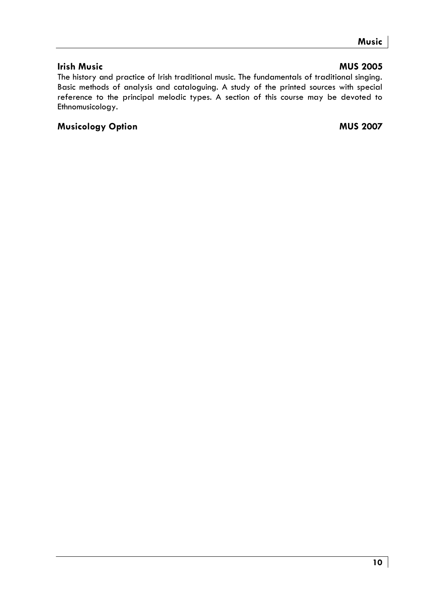#### **Irish Music MUS 2005**

The history and practice of Irish traditional music. The fundamentals of traditional singing. Basic methods of analysis and cataloguing. A study of the printed sources with special reference to the principal melodic types. A section of this course may be devoted to Ethnomusicology.

## Musicology Option **MUS** 2007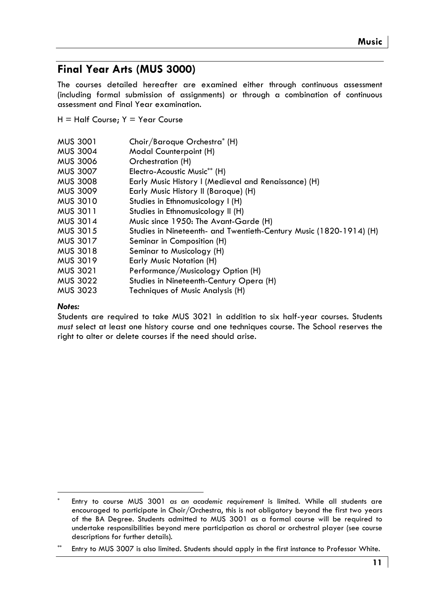## **Final Year Arts (MUS 3000)**

The courses detailed hereafter are examined either through continuous assessment (including formal submission of assignments) or through a combination of continuous assessment and Final Year examination.

 $H = H$ alf Course;  $Y = Y$ ear Course

| <b>MUS 3001</b> | Choir/Baroque Orchestra* (H)                                       |
|-----------------|--------------------------------------------------------------------|
| <b>MUS 3004</b> | Modal Counterpoint (H)                                             |
| <b>MUS 3006</b> | Orchestration (H)                                                  |
| <b>MUS 3007</b> | Electro-Acoustic Music** (H)                                       |
| <b>MUS 3008</b> | Early Music History I (Medieval and Renaissance) (H)               |
| <b>MUS 3009</b> | Early Music History II (Baroque) (H)                               |
| <b>MUS 3010</b> | Studies in Ethnomusicology I (H)                                   |
| MUS 3011        | Studies in Ethnomusicology II (H)                                  |
| <b>MUS 3014</b> | Music since 1950: The Avant-Garde (H)                              |
| MUS 3015        | Studies in Nineteenth- and Twentieth-Century Music (1820-1914) (H) |
| <b>MUS 3017</b> | Seminar in Composition (H)                                         |
| <b>MUS 3018</b> | Seminar to Musicology (H)                                          |
| <b>MUS 3019</b> | Early Music Notation (H)                                           |
| <b>MUS 3021</b> | Performance/Musicology Option (H)                                  |
| <b>MUS 3022</b> | Studies in Nineteenth-Century Opera (H)                            |
| <b>MUS 3023</b> | Techniques of Music Analysis (H)                                   |
|                 |                                                                    |

#### *Notes:*

Students are required to take MUS 3021 in addition to six half-year courses. Students *must* select at least one history course and one techniques course. The School reserves the right to alter or delete courses if the need should arise.

<sup>\*</sup> Entry to course MUS 3001 *as an academic requirement* is limited. While all students are encouraged to participate in Choir/Orchestra, this is not obligatory beyond the first two years of the BA Degree. Students admitted to MUS 3001 as a formal course will be required to undertake responsibilities beyond mere participation as choral or orchestral player (see course descriptions for further details).

Entry to MUS 3007 is also limited. Students should apply in the first instance to Professor White.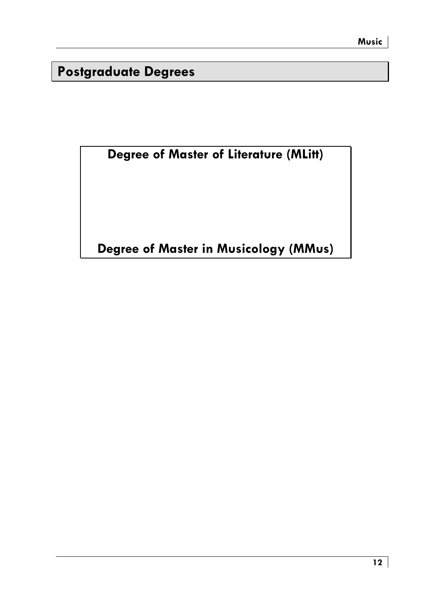**Postgraduate Degrees** 

**Degree of Master of Literature (MLitt)** 

**Degree of Master in Musicology (MMus)**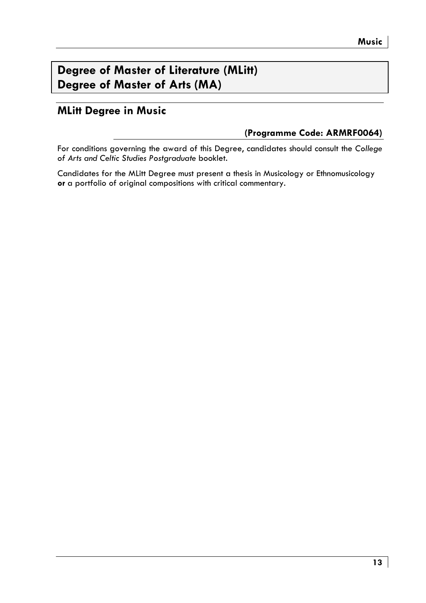## **Degree of Master of Literature (MLitt) Degree of Master of Arts (MA)**

## **MLitt Degree in Music**

#### **(Programme Code: ARMRF0064)**

For conditions governing the award of this Degree, candidates should consult the *College of Arts and Celtic Studies Postgraduate* booklet.

Candidates for the MLitt Degree must present a thesis in Musicology or Ethnomusicology **or** a portfolio of original compositions with critical commentary.